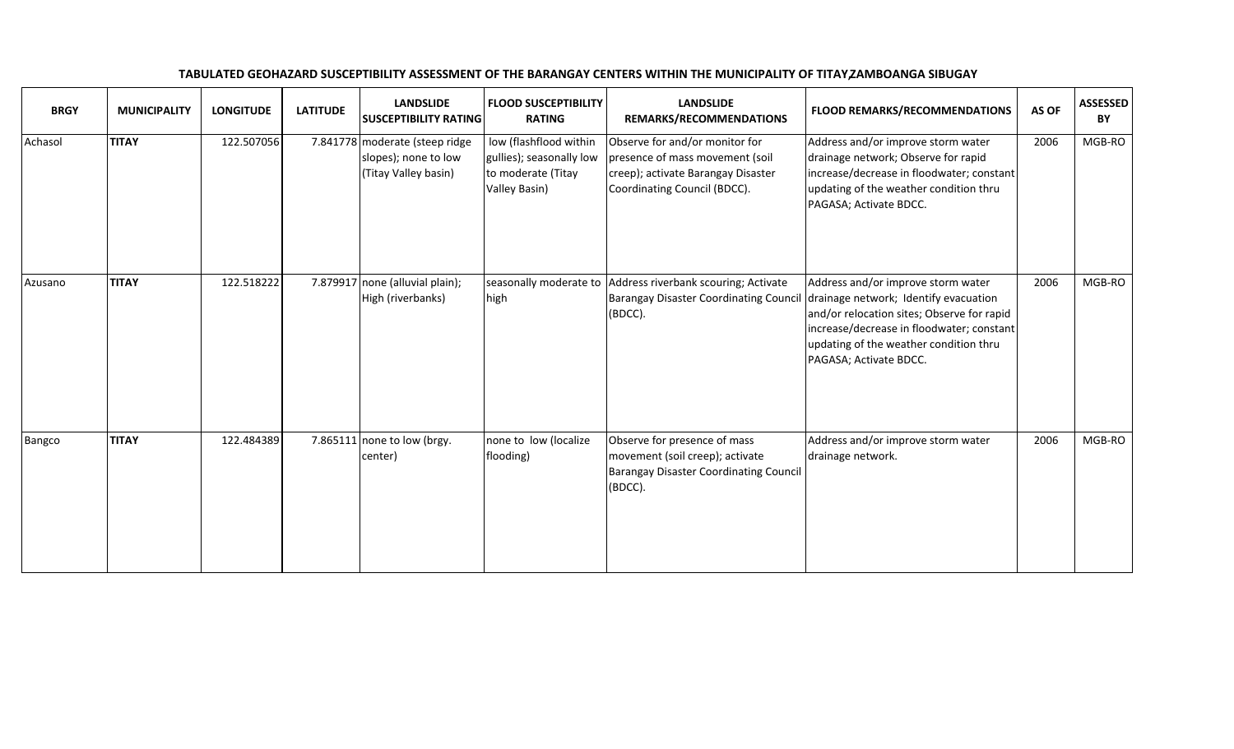| <b>BRGY</b> | <b>MUNICIPALITY</b> | <b>LONGITUDE</b> | <b>LATITUDE</b> | <b>LANDSLIDE</b><br><b>SUSCEPTIBILITY RATING</b>                               | <b>FLOOD SUSCEPTIBILITY</b><br><b>RATING</b>                                              | <b>LANDSLIDE</b><br>REMARKS/RECOMMENDATIONS                                                                                             | <b>FLOOD REMARKS/RECOMMENDATIONS</b>                                                                                                                                                                                                       | AS OF | <b>ASSESSED</b><br>BY |
|-------------|---------------------|------------------|-----------------|--------------------------------------------------------------------------------|-------------------------------------------------------------------------------------------|-----------------------------------------------------------------------------------------------------------------------------------------|--------------------------------------------------------------------------------------------------------------------------------------------------------------------------------------------------------------------------------------------|-------|-----------------------|
| Achasol     | <b>TITAY</b>        | 122.507056       |                 | 7.841778 moderate (steep ridge<br>slopes); none to low<br>(Titay Valley basin) | low (flashflood within<br>gullies); seasonally low<br>to moderate (Titay<br>Valley Basin) | Observe for and/or monitor for<br>presence of mass movement (soil<br>creep); activate Barangay Disaster<br>Coordinating Council (BDCC). | Address and/or improve storm water<br>drainage network; Observe for rapid<br>increase/decrease in floodwater; constant<br>updating of the weather condition thru<br>PAGASA; Activate BDCC.                                                 | 2006  | MGB-RO                |
| Azusano     | <b>TITAY</b>        | 122.518222       |                 | 7.879917 none (alluvial plain);<br>High (riverbanks)                           | seasonally moderate to<br>high                                                            | Address riverbank scouring; Activate<br><b>Barangay Disaster Coordinating Council</b><br>(BDCC).                                        | Address and/or improve storm water<br>drainage network; Identify evacuation<br>and/or relocation sites; Observe for rapid<br>increase/decrease in floodwater; constant<br>updating of the weather condition thru<br>PAGASA; Activate BDCC. | 2006  | MGB-RO                |
| Bangco      | <b>TITAY</b>        | 122.484389       |                 | 7.865111 none to low (brgy.<br>center)                                         | none to low (localize<br>flooding)                                                        | Observe for presence of mass<br>movement (soil creep); activate<br>Barangay Disaster Coordinating Council<br>(BDCC).                    | Address and/or improve storm water<br>drainage network.                                                                                                                                                                                    | 2006  | MGB-RO                |

## TABULATED GEOHAZARD SUSCEPTIBILITY ASSESSMENT OF THE BARANGAY CENTERS WITHIN THE MUNICIPALITY OF TITAY, ZAMBOANGA SIBUGAY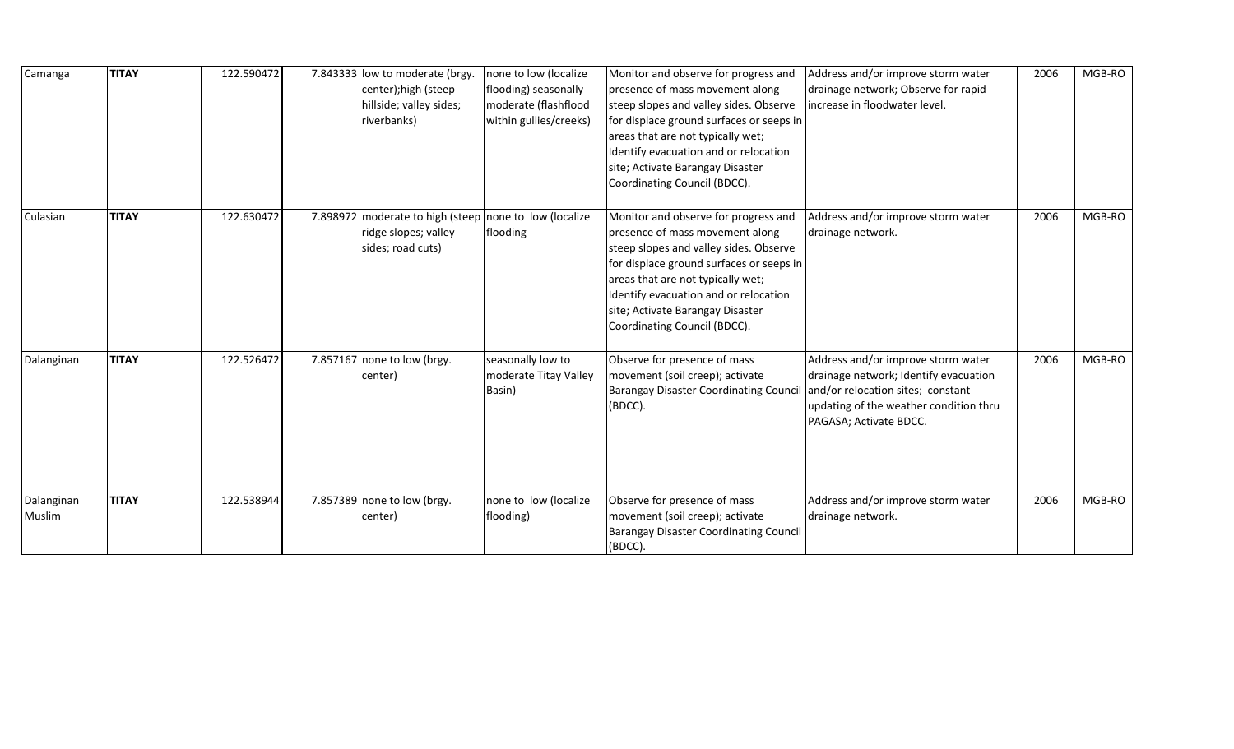| Camanga              | <b>TITAY</b> | 122.590472 | 7.843333 low to moderate (brgy.<br>center);high (steep<br>hillside; valley sides;<br>riverbanks)    | none to low (localize<br>flooding) seasonally<br>moderate (flashflood<br>within gullies/creeks) | Monitor and observe for progress and<br>presence of mass movement along<br>steep slopes and valley sides. Observe<br>for displace ground surfaces or seeps in<br>areas that are not typically wet;<br>Identify evacuation and or relocation<br>site; Activate Barangay Disaster<br>Coordinating Council (BDCC). | Address and/or improve storm water<br>drainage network; Observe for rapid<br>increase in floodwater level.                                                                           | 2006 | MGB-RO |
|----------------------|--------------|------------|-----------------------------------------------------------------------------------------------------|-------------------------------------------------------------------------------------------------|-----------------------------------------------------------------------------------------------------------------------------------------------------------------------------------------------------------------------------------------------------------------------------------------------------------------|--------------------------------------------------------------------------------------------------------------------------------------------------------------------------------------|------|--------|
| Culasian             | <b>TITAY</b> | 122.630472 | 7.898972 moderate to high (steep none to low (localize<br>ridge slopes; valley<br>sides; road cuts) | flooding                                                                                        | Monitor and observe for progress and<br>presence of mass movement along<br>steep slopes and valley sides. Observe<br>for displace ground surfaces or seeps in<br>areas that are not typically wet;<br>Identify evacuation and or relocation<br>site; Activate Barangay Disaster<br>Coordinating Council (BDCC). | Address and/or improve storm water<br>drainage network.                                                                                                                              | 2006 | MGB-RO |
| Dalanginan           | <b>TITAY</b> | 122.526472 | 7.857167 none to low (brgy.<br>center)                                                              | seasonally low to<br>moderate Titay Valley<br>Basin)                                            | Observe for presence of mass<br>movement (soil creep); activate<br><b>Barangay Disaster Coordinating Council</b><br>(BDCC).                                                                                                                                                                                     | Address and/or improve storm water<br>drainage network; Identify evacuation<br>and/or relocation sites; constant<br>updating of the weather condition thru<br>PAGASA; Activate BDCC. | 2006 | MGB-RO |
| Dalanginan<br>Muslim | <b>TITAY</b> | 122.538944 | 7.857389 none to low (brgy.<br>center)                                                              | none to low (localize<br>flooding)                                                              | Observe for presence of mass<br>movement (soil creep); activate<br>Barangay Disaster Coordinating Council<br>(BDCC).                                                                                                                                                                                            | Address and/or improve storm water<br>drainage network.                                                                                                                              | 2006 | MGB-RO |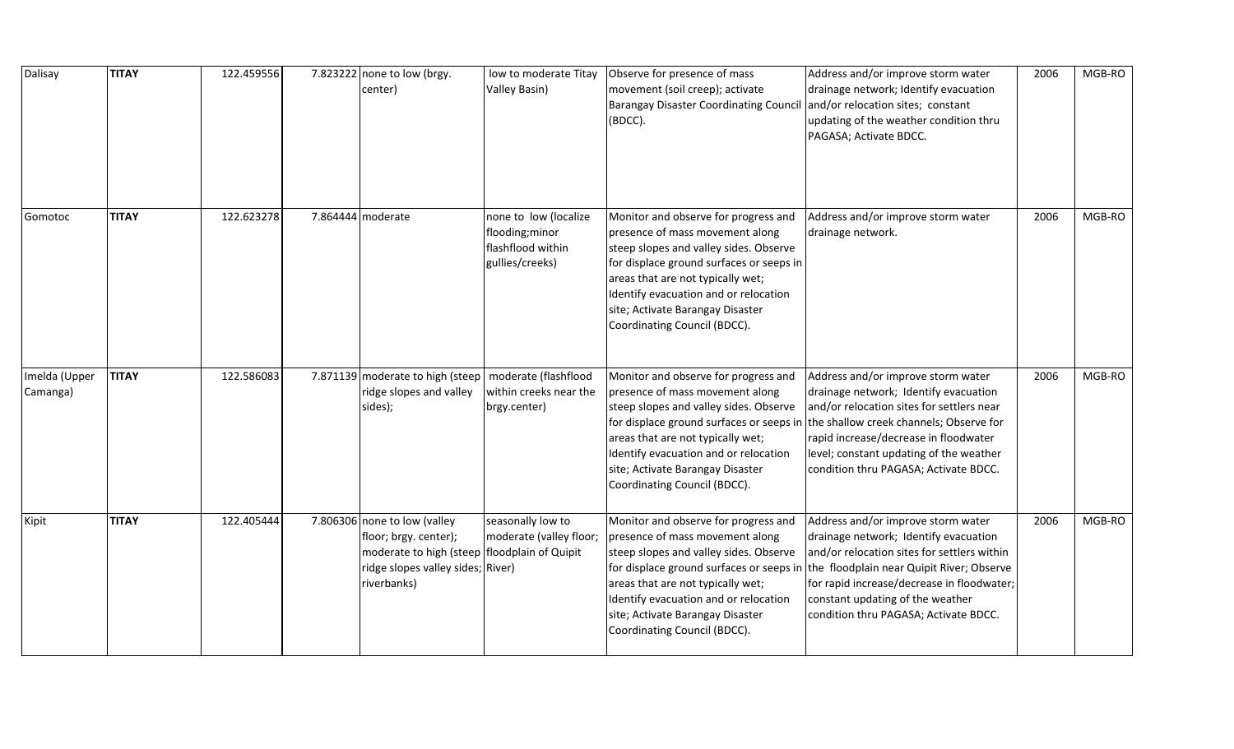| Dalisay                   | <b>TITAY</b> | 122.459556 | 7.823222 none to low (brgy.<br>center)                                                                                                                      | low to moderate Titay<br>Valley Basin)                                           | Observe for presence of mass<br>movement (soil creep); activate<br><b>Barangay Disaster Coordinating Council</b><br>(BDCC).                                                                                                                                                                                     | Address and/or improve storm water<br>drainage network; Identify evacuation<br>and/or relocation sites; constant<br>updating of the weather condition thru<br>PAGASA; Activate BDCC.                                                                                                               | 2006 | MGB-RO |
|---------------------------|--------------|------------|-------------------------------------------------------------------------------------------------------------------------------------------------------------|----------------------------------------------------------------------------------|-----------------------------------------------------------------------------------------------------------------------------------------------------------------------------------------------------------------------------------------------------------------------------------------------------------------|----------------------------------------------------------------------------------------------------------------------------------------------------------------------------------------------------------------------------------------------------------------------------------------------------|------|--------|
| Gomotoc                   | <b>TITAY</b> | 122.623278 | 7.864444 moderate                                                                                                                                           | none to low (localize<br>flooding; minor<br>flashflood within<br>gullies/creeks) | Monitor and observe for progress and<br>presence of mass movement along<br>steep slopes and valley sides. Observe<br>for displace ground surfaces or seeps in<br>areas that are not typically wet;<br>Identify evacuation and or relocation<br>site; Activate Barangay Disaster<br>Coordinating Council (BDCC). | Address and/or improve storm water<br>drainage network.                                                                                                                                                                                                                                            | 2006 | MGB-RO |
| Imelda (Upper<br>Camanga) | <b>TITAY</b> | 122.586083 | 7.871139 moderate to high (steep   moderate (flashflood<br>ridge slopes and valley<br>sides);                                                               | within creeks near the<br>brgy.center)                                           | Monitor and observe for progress and<br>presence of mass movement along<br>steep slopes and valley sides. Observe<br>for displace ground surfaces or seeps in<br>areas that are not typically wet;<br>Identify evacuation and or relocation<br>site; Activate Barangay Disaster<br>Coordinating Council (BDCC). | Address and/or improve storm water<br>drainage network; Identify evacuation<br>and/or relocation sites for settlers near<br>the shallow creek channels; Observe for<br>rapid increase/decrease in floodwater<br>level; constant updating of the weather<br>condition thru PAGASA; Activate BDCC.   | 2006 | MGB-RO |
| Kipit                     | <b>TITAY</b> | 122.405444 | 7.806306 none to low (valley<br>floor; brgy. center);<br>moderate to high (steep   floodplain of Quipit<br>ridge slopes valley sides; River)<br>riverbanks) | seasonally low to<br>moderate (valley floor;                                     | Monitor and observe for progress and<br>presence of mass movement along<br>steep slopes and valley sides. Observe<br>for displace ground surfaces or seeps in<br>areas that are not typically wet;<br>Identify evacuation and or relocation<br>site; Activate Barangay Disaster<br>Coordinating Council (BDCC). | Address and/or improve storm water<br>drainage network; Identify evacuation<br>and/or relocation sites for settlers within<br>the floodplain near Quipit River; Observe<br>for rapid increase/decrease in floodwater;<br>constant updating of the weather<br>condition thru PAGASA; Activate BDCC. | 2006 | MGB-RO |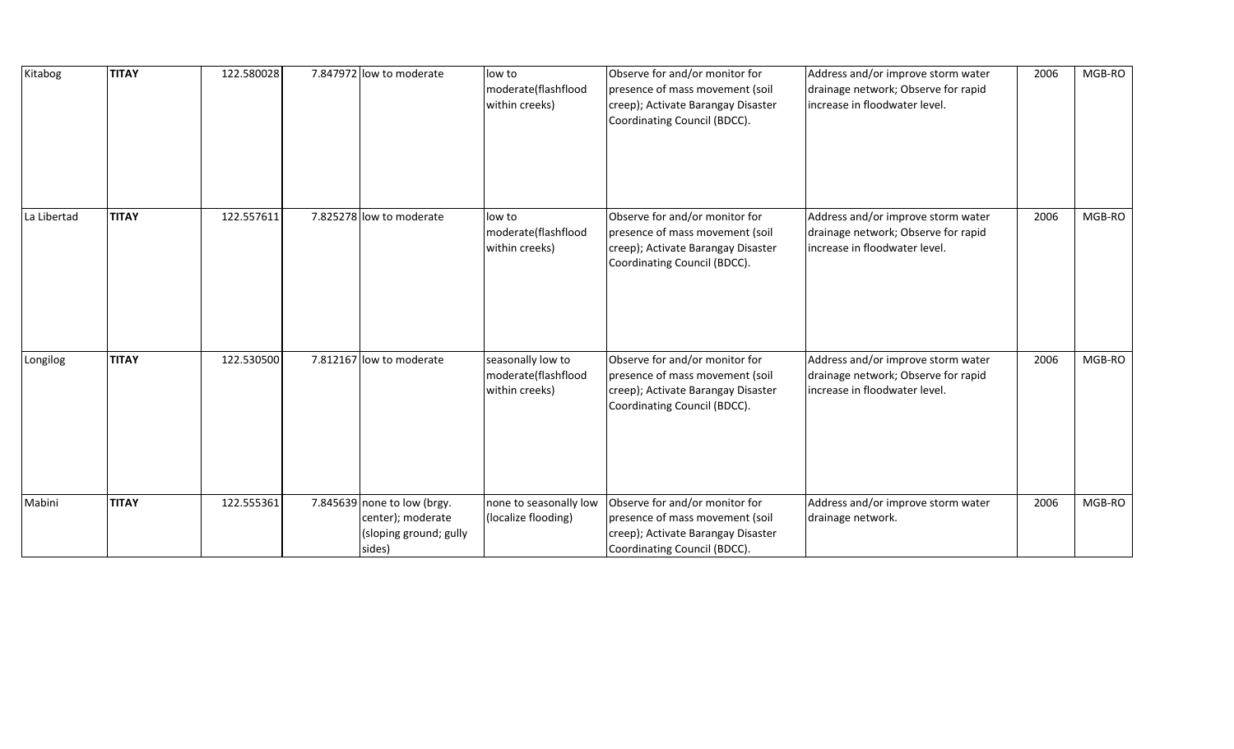| Kitabog     | <b>TITAY</b> | 122.580028 | 7.847972 low to moderate                                                             | low to<br>moderate(flashflood<br>within creeks)            | Observe for and/or monitor for<br>presence of mass movement (soil<br>creep); Activate Barangay Disaster<br>Coordinating Council (BDCC). | Address and/or improve storm water<br>drainage network; Observe for rapid<br>increase in floodwater level. | 2006 | MGB-RO |
|-------------|--------------|------------|--------------------------------------------------------------------------------------|------------------------------------------------------------|-----------------------------------------------------------------------------------------------------------------------------------------|------------------------------------------------------------------------------------------------------------|------|--------|
| La Libertad | <b>TITAY</b> | 122.557611 | 7.825278 low to moderate                                                             | low to<br>moderate(flashflood<br>within creeks)            | Observe for and/or monitor for<br>presence of mass movement (soil<br>creep); Activate Barangay Disaster<br>Coordinating Council (BDCC). | Address and/or improve storm water<br>drainage network; Observe for rapid<br>increase in floodwater level. | 2006 | MGB-RO |
| Longilog    | <b>TITAY</b> | 122.530500 | 7.812167 low to moderate                                                             | seasonally low to<br>moderate(flashflood<br>within creeks) | Observe for and/or monitor for<br>presence of mass movement (soil<br>creep); Activate Barangay Disaster<br>Coordinating Council (BDCC). | Address and/or improve storm water<br>drainage network; Observe for rapid<br>increase in floodwater level. | 2006 | MGB-RO |
| Mabini      | <b>TITAY</b> | 122.555361 | 7.845639 none to low (brgy.<br>center); moderate<br>(sloping ground; gully<br>sides) | none to seasonally low<br>(localize flooding)              | Observe for and/or monitor for<br>presence of mass movement (soil<br>creep); Activate Barangay Disaster<br>Coordinating Council (BDCC). | Address and/or improve storm water<br>drainage network.                                                    | 2006 | MGB-RO |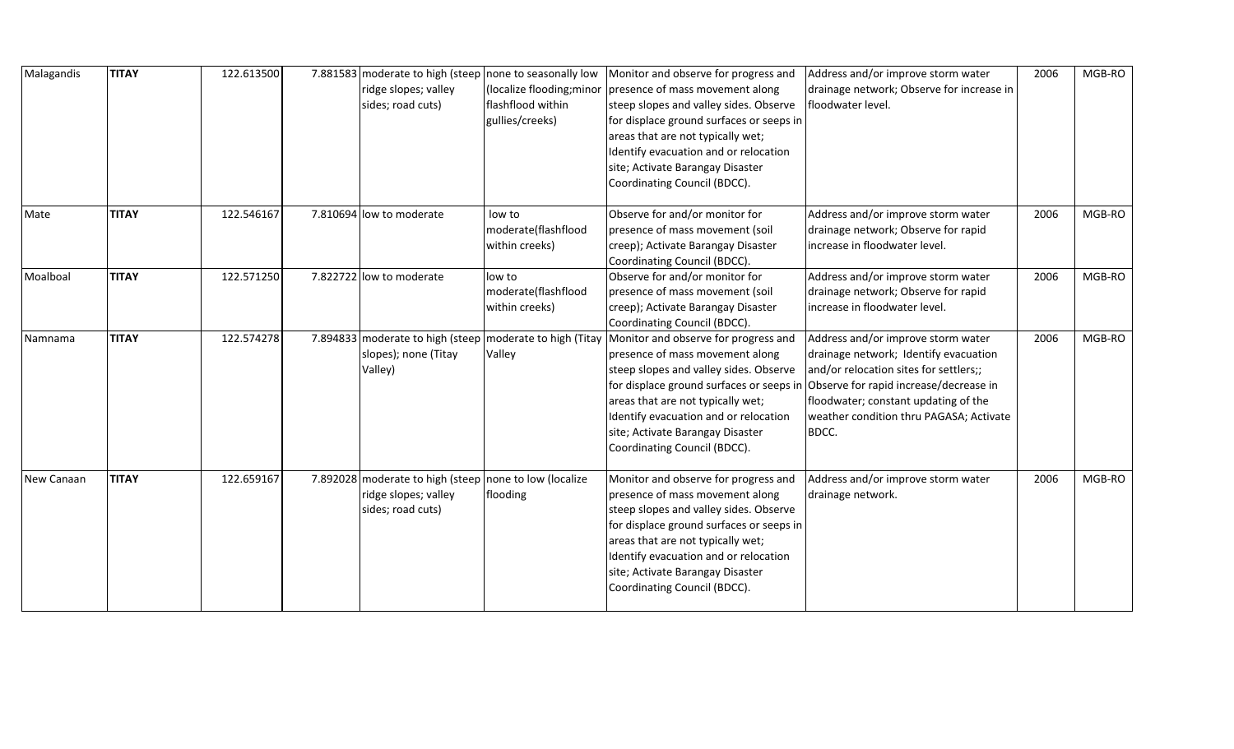| Malagandis | <b>TITAY</b> | 122.613500 | 7.881583 moderate to high (steep none to seasonally low<br>ridge slopes; valley<br>sides; road cuts) | (localize flooding; minor<br>flashflood within<br>gullies/creeks) | Monitor and observe for progress and<br>presence of mass movement along<br>steep slopes and valley sides. Observe<br>for displace ground surfaces or seeps in<br>areas that are not typically wet;<br>Identify evacuation and or relocation<br>site; Activate Barangay Disaster<br>Coordinating Council (BDCC). | Address and/or improve storm water<br>drainage network; Observe for increase in<br>floodwater level.                                                                                                                                                        | 2006 | MGB-RO |
|------------|--------------|------------|------------------------------------------------------------------------------------------------------|-------------------------------------------------------------------|-----------------------------------------------------------------------------------------------------------------------------------------------------------------------------------------------------------------------------------------------------------------------------------------------------------------|-------------------------------------------------------------------------------------------------------------------------------------------------------------------------------------------------------------------------------------------------------------|------|--------|
| Mate       | <b>TITAY</b> | 122.546167 | 7.810694 low to moderate                                                                             | low to<br>moderate(flashflood<br>within creeks)                   | Observe for and/or monitor for<br>presence of mass movement (soil<br>creep); Activate Barangay Disaster<br>Coordinating Council (BDCC).                                                                                                                                                                         | Address and/or improve storm water<br>drainage network; Observe for rapid<br>increase in floodwater level.                                                                                                                                                  | 2006 | MGB-RO |
| Moalboal   | <b>TITAY</b> | 122.571250 | 7.822722 low to moderate                                                                             | low to<br>moderate(flashflood<br>within creeks)                   | Observe for and/or monitor for<br>presence of mass movement (soil<br>creep); Activate Barangay Disaster<br>Coordinating Council (BDCC).                                                                                                                                                                         | Address and/or improve storm water<br>drainage network; Observe for rapid<br>increase in floodwater level.                                                                                                                                                  | 2006 | MGB-RO |
| Namnama    | <b>TITAY</b> | 122.574278 | 7.894833 moderate to high (steep moderate to high (Titay<br>slopes); none (Titay<br>Valley)          | Valley                                                            | Monitor and observe for progress and<br>presence of mass movement along<br>steep slopes and valley sides. Observe<br>for displace ground surfaces or seeps in<br>areas that are not typically wet;<br>Identify evacuation and or relocation<br>site; Activate Barangay Disaster<br>Coordinating Council (BDCC). | Address and/or improve storm water<br>drainage network; Identify evacuation<br>and/or relocation sites for settlers;;<br>Observe for rapid increase/decrease in<br>floodwater; constant updating of the<br>weather condition thru PAGASA; Activate<br>BDCC. | 2006 | MGB-RO |
| New Canaan | <b>TITAY</b> | 122.659167 | 7.892028 moderate to high (steep none to low (localize<br>ridge slopes; valley<br>sides; road cuts)  | flooding                                                          | Monitor and observe for progress and<br>presence of mass movement along<br>steep slopes and valley sides. Observe<br>for displace ground surfaces or seeps in<br>areas that are not typically wet;<br>Identify evacuation and or relocation<br>site; Activate Barangay Disaster<br>Coordinating Council (BDCC). | Address and/or improve storm water<br>drainage network.                                                                                                                                                                                                     | 2006 | MGB-RO |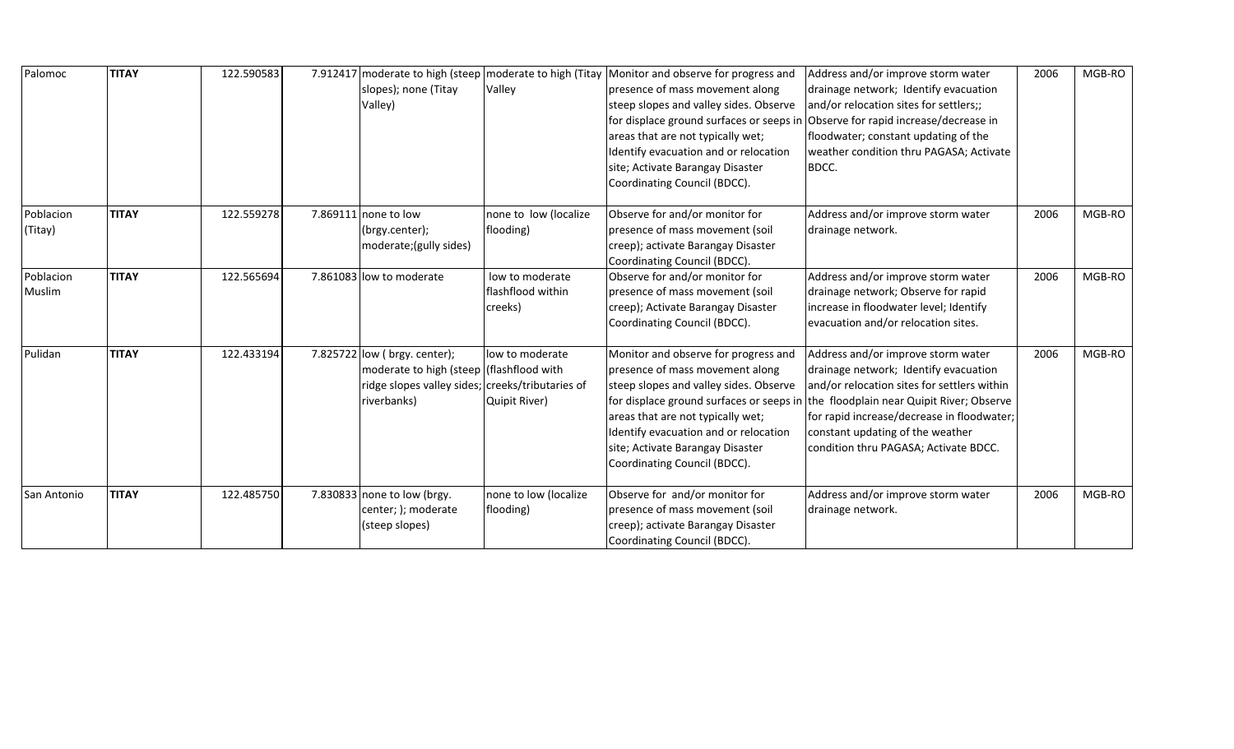| Palomoc              | <b>TITAY</b> | 122.590583 | 7.912417 moderate to high (steep   moderate to high (Titay<br>slopes); none (Titay<br>Valley)                                                | Valley                                          | Monitor and observe for progress and<br>presence of mass movement along<br>steep slopes and valley sides. Observe<br>for displace ground surfaces or seeps in<br>areas that are not typically wet;<br>Identify evacuation and or relocation<br>site; Activate Barangay Disaster                                 | Address and/or improve storm water<br>drainage network; Identify evacuation<br>and/or relocation sites for settlers;;<br>Observe for rapid increase/decrease in<br>floodwater; constant updating of the<br>weather condition thru PAGASA; Activate<br>BDCC.                                        | 2006 | MGB-RO |
|----------------------|--------------|------------|----------------------------------------------------------------------------------------------------------------------------------------------|-------------------------------------------------|-----------------------------------------------------------------------------------------------------------------------------------------------------------------------------------------------------------------------------------------------------------------------------------------------------------------|----------------------------------------------------------------------------------------------------------------------------------------------------------------------------------------------------------------------------------------------------------------------------------------------------|------|--------|
|                      |              |            |                                                                                                                                              |                                                 | Coordinating Council (BDCC).                                                                                                                                                                                                                                                                                    |                                                                                                                                                                                                                                                                                                    |      |        |
| Poblacion<br>(Titay) | <b>TITAY</b> | 122.559278 | 7.869111 none to low<br>(brgy.center);<br>moderate; (gully sides)                                                                            | none to low (localize<br>flooding)              | Observe for and/or monitor for<br>presence of mass movement (soil<br>creep); activate Barangay Disaster<br>Coordinating Council (BDCC).                                                                                                                                                                         | Address and/or improve storm water<br>drainage network.                                                                                                                                                                                                                                            | 2006 | MGB-RO |
| Poblacion<br>Muslim  | <b>TITAY</b> | 122.565694 | 7.861083 low to moderate                                                                                                                     | low to moderate<br>flashflood within<br>creeks) | Observe for and/or monitor for<br>presence of mass movement (soil<br>creep); Activate Barangay Disaster<br>Coordinating Council (BDCC).                                                                                                                                                                         | Address and/or improve storm water<br>drainage network; Observe for rapid<br>increase in floodwater level; Identify<br>evacuation and/or relocation sites.                                                                                                                                         | 2006 | MGB-RO |
| Pulidan              | <b>TITAY</b> | 122.433194 | 7.825722 low ( brgy. center);<br>moderate to high (steep (flashflood with<br>ridge slopes valley sides; creeks/tributaries of<br>riverbanks) | low to moderate<br>Quipit River)                | Monitor and observe for progress and<br>presence of mass movement along<br>steep slopes and valley sides. Observe<br>for displace ground surfaces or seeps in<br>areas that are not typically wet;<br>Identify evacuation and or relocation<br>site; Activate Barangay Disaster<br>Coordinating Council (BDCC). | Address and/or improve storm water<br>drainage network; Identify evacuation<br>and/or relocation sites for settlers within<br>the floodplain near Quipit River; Observe<br>for rapid increase/decrease in floodwater;<br>constant updating of the weather<br>condition thru PAGASA; Activate BDCC. | 2006 | MGB-RO |
| San Antonio          | <b>TITAY</b> | 122.485750 | 7.830833 none to low (brgy.<br>center; ); moderate<br>(steep slopes)                                                                         | none to low (localize<br>flooding)              | Observe for and/or monitor for<br>presence of mass movement (soil<br>creep); activate Barangay Disaster<br>Coordinating Council (BDCC).                                                                                                                                                                         | Address and/or improve storm water<br>drainage network.                                                                                                                                                                                                                                            | 2006 | MGB-RO |